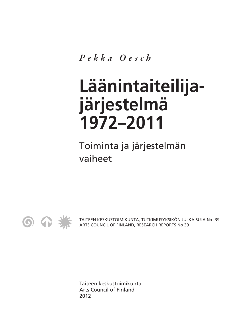*Pekka Oesch*

# **Läänintaiteilijajärjestelmä 1972–2011**

Toiminta ja järjestelmän vaiheet



TAITEEN KESKUSTOIMIKUNTA, TUTKIMUSYKSIKÖN JULKAISUJA N:o 39 ARTS COUNCIL OF FINLAND, RESEARCH REPORTS No 39

Taiteen keskustoimikunta Arts Council of Finland 2012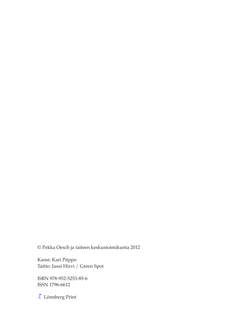© Pekka Oesch ja taiteen keskustoimikunta 2012

Kansi: Kari Piippo Taitto: Jussi Hirvi / Green Spot

ISBN 978-952-5253-85-6 ISSN 1796-6612

 $\overline{\mathcal{E}}$ Lönnberg Print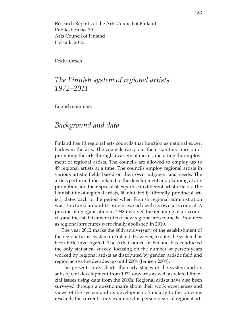Research Reports of the Arts Council of Finland Publication no. 39 Arts Council of Finland Helsinki 2012

Pekka Oesch

### *The Finnish system of regional artists 1972–2011*

English summary

#### *Background and data*

Finland has 13 regional arts councils that function as national expert bodies in the arts. The councils carry out their statutory mission of promoting the arts through a variety of means, including the employment of regional artists. The councils are allowed to employ up to 49 regional artists at a time. The councils employ regional artists in various artistic fields based on their own judgment and needs. The artists perform duties related to the development and planning of arts promotion and their specialist expertise in different artistic fields. The Finnish title of regional artists, läänintaiteilija (literally, provincial artist), dates back to the period when Finnish regional administration was structured around 11 provinces, each with its own arts council. A provincial reorganisation in 1998 involved the renaming of arts councils and the establishment of two new regional arts councils. Provinces as regional structures were finally abolished in 2010.

The year 2012 marks the 40th anniversary of the establishment of the regional artist system in Finland. However, to date, the system has been little investigated. The Arts Council of Finland has conducted the only statistical survey, focusing on the number of person-years worked by regional artists as distributed by gender, artistic field and region across the decades up until 2004 (Jämsén 2004).

The present study charts the early stages of the system and its subsequent development from 1972 onwards as well as related financial issues using data from the 2000s. Regional artists have also been surveyed through a questionnaire about their work experiences and views of the system and its development. Similarly to the previous research, the current study examines the person-years of regional art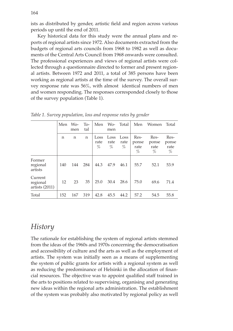ists as distributed by gender, artistic field and region across various periods up until the end of 2011.

Key historical data for this study were the annual plans and reports of regional artists since 1972. Also documents extracted from the budgets of regional arts councils from 1968 to 1982 as well as documents of the Central Arts Council from 1968 onwards were consulted. The professional experiences and views of regional artists were collected through a questionnaire directed to former and present regional artists. Between 1972 and 2011, a total of 385 persons have been working as regional artists at the time of the survey. The overall survey response rate was 56%, with almost identical numbers of men and women responding. The responses corresponded closely to those of the survey population (Table 1).

|                                                | Men               | $Wo-$<br>men | $To-$<br>tal | Men               | Wo-<br>men        | Total             | Men                           | Women                         | Total                      |
|------------------------------------------------|-------------------|--------------|--------------|-------------------|-------------------|-------------------|-------------------------------|-------------------------------|----------------------------|
|                                                | n                 | n            | $\mathbf n$  | Loss<br>rate<br>% | Loss<br>rate<br>% | Loss<br>rate<br>% | Res-<br>ponse<br>rate<br>$\%$ | Res-<br>ponse<br>rate<br>$\%$ | Res-<br>ponse<br>rate<br>% |
| Former<br>$\operatorname{regional}$<br>artists | 140               | 144          | 284          | 44.3              | 47.9              | 46.1              | 55.7                          | 52.1                          | 53.9                       |
| Current<br>regional<br>artists $(2011)$        | $12 \overline{ }$ | 23           | 35           | 25.0              | 30.4              | 28.6              | 75.0                          | 69.6                          | 71.4                       |
| Total                                          | 152               | 167          | 319          | 42.8              | 45.5              | 44.2              | 57.2                          | 54.5                          | 55.8                       |

*Table 1. Survey population, loss and response rates by gender*

## *History*

The rationale for establishing the system of regional artists stemmed from the ideas of the 1960s and 1970s concerning the democratisation and accessibility of culture and the arts as well as the employment of artists. The system was initially seen as a means of supplementing the system of public grants for artists with a regional system as well as reducing the predominance of Helsinki in the allocation of financial resources. The objective was to appoint qualified staff trained in the arts to positions related to supervising, organising and generating new ideas within the regional arts administration. The establishment of the system was probably also motivated by regional policy as well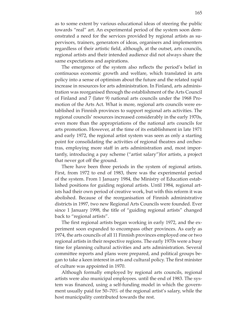as to some extent by various educational ideas of steering the public towards "real" art. An experimental period of the system soon demonstrated a need for the services provided by regional artists as supervisors, trainers, generators of ideas, organisers and implementers regardless of their artistic field, although, at the outset, arts councils, regional artists and their intended audience did not always share the same expectations and aspirations.

The emergence of the system also reflects the period's belief in continuous economic growth and welfare, which translated in arts policy into a sense of optimism about the future and the related rapid increase in resources for arts administration. In Finland, arts administration was reorganised through the establishment of the Arts Council of Finland and 7 (later 9) national arts councils under the 1968 Promotion of the Arts Act. What is more, regional arts councils were established in Finnish provinces to support regional arts activities. The regional councils' resources increased considerably in the early 1970s, even more than the appropriations of the national arts councils for arts promotion. However, at the time of its establishment in late 1971 and early 1972, the regional artist system was seen as only a starting point for consolidating the activities of regional theatres and orchestras, employing more staff in arts administration and, most importantly, introducing a pay scheme ("artist salary")for artists, a project that never got off the ground.

There have been three periods in the system of regional artists. First, from 1972 to end of 1983, there was the experimental period of the system. From 1 January 1984, the Ministry of Education established positions for guiding regional artists. Until 1984, regional artists had their own period of creative work, but with this reform it was abolished. Because of the reorganisation of Finnish administrative districts in 1997, two new Regional Arts Councils were founded. Ever since 1 January 1998, the title of "guiding regional artists" changed back to "regional artists".

The first regional artists began working in early 1972, and the experiment soon expanded to encompass other provinces. As early as 1974, the arts councils of all 11 Finnish provinces employed one or two regional artists in their respective regions. The early 1970s were a busy time for planning cultural activities and arts administration. Several committee reports and plans were prepared, and political groups began to take a keen interest in arts and cultural policy. The first minister of culture was appointed in 1970.

Although formally employed by regional arts councils, regional artists were also municipal employees. until the end of 1983. The system was financed, using a self-funding model in which the government usually paid for 50–70% of the regional artist's salary, while the host municipality contributed towards the rest.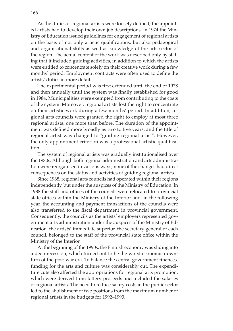As the duties of regional artists were loosely defined, the appointed artists had to develop their own job descriptions. In 1974 the Ministry of Education issued guidelines for engagement of regional artists on the basis of not only artistic qualifications, but also pedagogical and organisational skills as well as knowledge of the arts sector of the region. The actual content of the work was described only by stating that it included guiding activities, in addition to which the artists were entitled to concentrate solely on their creative work during a few months' period. Employment contracts were often used to define the artists' duties in more detail.

The experimental period was first extended until the end of 1978 and then annually until the system was finally established for good in 1984. Municipalities were exempted from contributing to the costs of the system. Moreover, regional artists lost the right to concentrate on their artistic work during a few months' period. In addition, regional arts councils were granted the right to employ at most three regional artists, one more than before. The duration of the appointment was defined more broadly as two to five years, and the title of regional artist was changed to "guiding regional artist". However, the only appointment criterion was a professional artistic qualification.

The system of regional artists was gradually institutionalised over the 1980s. Although both regional administration and arts administration were reorganised in various ways, none of the changes had direct consequences on the status and activities of guiding regional artists.

Since 1968, regional arts councils had operated within their regions independently, but under the auspices of the Ministry of Education. In 1988 the staff and offices of the councils were relocated to provincial state offices within the Ministry of the Interior and, in the following year, the accounting and payment transactions of the councils were also transferred to the fiscal department in provincial government. Consequently, the councils as the artists' employers represented government arts administration under the auspices of the Ministry of Education, the artists' immediate superior, the secretary general of each council, belonged to the staff of the provincial state office within the Ministry of the Interior.

At the beginning of the 1990s, the Finnish economy was sliding into a deep recession, which turned out to be the worst economic downturn of the post-war era. To balance the central government finances, funding for the arts and culture was considerably cut. The expenditure cuts also affected the appropriations for regional arts promotion, which were derived from lottery proceeds and included the salaries of regional artists. The need to reduce salary costs in the public sector led to the abolishment of two positions from the maximum number of regional artists in the budgets for 1992–1993.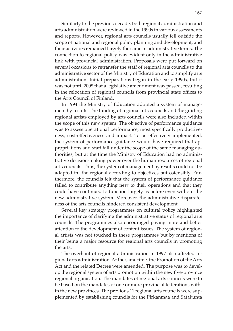Similarly to the previous decade, both regional administration and arts administration were reviewed in the 1990s in various assessments and reports. However, regional arts councils usually fell outside the scope of national and regional policy planning and development, and their activities remained largely the same in administrative terms. The connection to regional policy was evident only in the administrative link with provincial administration. Proposals were put forward on several occasions to retransfer the staff of regional arts councils to the administrative sector of the Ministry of Education and to simplify arts administration. Initial preparations began in the early 1990s, but it was not until 2008 that a legislative amendment was passed, resulting in the relocation of regional councils from provincial state offices to the Arts Council of Finland.

In 1994 the Ministry of Education adopted a system of management by results. The funding of regional arts councils and the guiding regional artists employed by arts councils were also included within the scope of this new system. The objective of performance guidance was to assess operational performance, most specifically productiveness, cost-effectiveness and impact. To be effectively implemented, the system of performance guidance would have required that appropriations and staff fall under the scope of the same managing authorities, but at the time the Ministry of Education had no administrative decision-making power over the human resources of regional arts councils. Thus, the system of management by results could not be adapted in the regional according to objectives but ostensibly. Furthermore, the councils felt that the system of performance guidance failed to contribute anything new to their operations and that they could have continued to function largely as before even without the new administrative system. Moreover, the administrative disparateness of the arts councils hindered consistent development.

Several key strategy programmes on cultural policy highlighted the importance of clarifying the administrative status of regional arts councils. The programmes also encouraged paying more and better attention to the development of content issues. The system of regional artists was not touched in these programmes but by mentions of their being a major resource for regional arts councils in promoting the arts.

The overhaul of regional administration in 1997 also affected regional arts administration. At the same time, the Promotion of the Arts Act and the related Decree were amended. The purpose was to develop the regional system of arts promotion within the new five-province regional organisation. The mandates of regional arts councils were to be based on the mandates of one or more provincial federations within the new provinces. The previous 11 regional arts councils were supplemented by establishing councils for the Pirkanmaa and Satakunta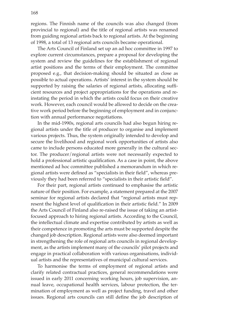regions. The Finnish name of the councils was also changed (from provincial to regional) and the title of regional artists was renamed from guiding regional artists back to regional artists. At the beginning of 1998, a total of 13 regional arts councils became operational.

The Arts Council of Finland set up an ad hoc committee in 1997 to explore current circumstances, prepare a proposal for developing the system and review the guidelines for the establishment of regional artist positions and the terms of their employment. The committee proposed e.g., that decision-making should be situated as close as possible to actual operations. Artists' interest in the system should be supported by raising the salaries of regional artists, allocating sufficient resources and project appropriations for the operations and reinstating the period in which the artists could focus on their creative work. However, each council would be allowed to decide on the creative work period before the beginning of employment and in conjunction with annual performance negotiations.

In the mid-1990s, regional arts councils had also begun hiring regional artists under the title of producer to organise and implement various projects. Thus, the system originally intended to develop and secure the livelihood and regional work opportunities of artists also came to include persons educated more generally in the cultural sector. The producer/regional artists were not necessarily expected to hold a professional artistic qualification. As a case in point, the above mentioned ad hoc committee published a memorandum in which regional artists were defined as "specialists in their field", whereas previously they had been referred to "specialists in their artistic field".

For their part, regional artists continued to emphasise the artistic nature of their position. For example, a statement prepared at the 2007 seminar for regional artists declared that "regional artists must represent the highest level of qualification in their artistic field." In 2009 the Arts Council of Finland also re-raised the issue of taking an artistfocused approach to hiring regional artists. According to the Council, the intellectual climate and expertise contributed by artists as well as their competence in promoting the arts must be supported despite the changed job description. Regional artists were also deemed important in strengthening the role of regional arts councils in regional development, as the artists implement many of the councils' pilot projects and engage in practical collaboration with various organisations, individual artists and the representatives of municipal cultural services.

To harmonise the terms of employment of regional artists and clarify related contractual practices, general recommendations were issued in early 2011 concerning working hours, job supervision, annual leave, occupational health services, labour protection, the termination of employment as well as project funding, travel and other issues. Regional arts councils can still define the job description of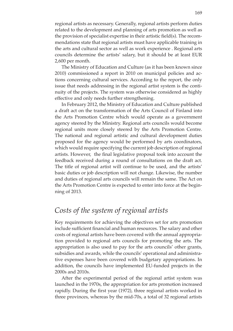regional artists as necessary. Generally, regional artists perform duties related to the development and planning of arts promotion as well as the provision of specialist expertise in their artistic field(s). The recommendations state that regional artists must have applicable training in the arts and cultural sector as well as work experience . Regional arts councils determine the artists' salary, but it should be at least EUR 2,600 per month.

The Ministry of Education and Culture (as it has been known since 2010) commissioned a report in 2010 on municipal policies and actions concerning cultural services. According to the report, the only issue that needs addressing in the regional artist system is the continuity of the projects. The system was otherwise considered as highly effective and only needs further strengthening.

In February 2012, the Ministry of Education and Culture published a draft act on the transformation of the Arts Council of Finland into the Arts Promotion Centre which would operate as a government agency steered by the Ministry. Regional arts councils would become regional units more closely steered by the Arts Promotion Centre. The national and regional artistic and cultural development duties proposed for the agency would be performed by arts coordinators, which would require specifying the current job description of regional artists. However, the final legislative proposal took into account the feedback received during a round of consultations on the draft act. The title of regional artist will continue to be used, and the artists' basic duties or job description will not change. Likewise, the number and duties of regional arts councils will remain the same. The Act on the Arts Promotion Centre is expected to enter into force at the beginning of 2013.

## *Costs of the system of regional artists*

Key requirements for achieving the objectives set for arts promotion include sufficient financial and human resources. The salary and other costs of regional artists have been covered with the annual appropriation provided to regional arts councils for promoting the arts. The appropriation is also used to pay for the arts councils' other grants, subsidies and awards, while the councils' operational and administrative expenses have been covered with budgetary appropriations. In addition, the councils have implemented EU-funded projects in the 2000s and 2010s.

After the experimental period of the regional artist system was launched in the 1970s, the appropriation for arts promotion increased rapidly. During the first year (1972), three regional artists worked in three provinces, whereas by the mid-70s, a total of 32 regional artists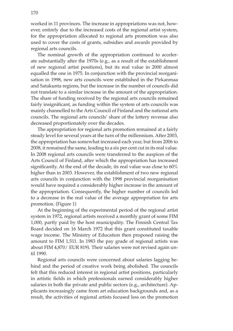worked in 11 provinces. The increase in appropriations was not, however, entirely due to the increased costs of the regional artist system, for the appropriation allocated to regional arts promotion was also used to cover the costs of grants, subsidies and awards provided by regional arts councils.

The nominal growth of the appropriation continued to accelerate substantially after the 1970s (e.g., as a result of the establishment of new regional artist positions), but its real value in 2000 almost equalled the one in 1975. In conjunction with the provincial reorganisation in 1998, new arts councils were established in the Pirkanmaa and Satakunta regions, but the increase in the number of councils did not translate to a similar increase in the amount of the appropriation. The share of funding received by the regional arts councils remained fairly insignificant, as funding within the system of arts councils was mainly channelled to the Arts Council of Finland and the national arts councils. The regional arts councils' share of the lottery revenue also decreased proportionately over the decades.

The appropriation for regional arts promotion remained at a fairly steady level for several years at the turn of the millennium. After 2003, the appropriation has somewhat increased each year, but from 2006 to 2008, it remained the same, leading to a six per cent cut in its real value. In 2008 regional arts councils were transferred to the auspices of the Arts Council of Finland, after which the appropriation has increased significantly. At the end of the decade, its real value was close to 60% higher than in 2003. However, the establishment of two new regional arts councils in conjunction with the 1998 provincial reorganisation would have required a considerably higher increase in the amount of the appropriation. Consequently, the higher number of councils led to a decrease in the real value of the average appropriation for arts promotion. (Figure 1)

At the beginning of the experimental period of the regional artist system in 1972, regional artists received a monthly grant of some FIM 1,000, partly paid by the host municipality. The Finnish Central Tax Board decided on 16 March 1972 that this grant constituted taxable wage income. The Ministry of Education then proposed raising the amount to FIM 1,511. In 1983 the pay grade of regional artists was about FIM 4,870/ EUR 819). Their salaries were not revised again until 1990.

Regional arts councils were concerned about salaries lagging behind and the period of creative work being abolished. The councils felt that this reduced interest in regional artist positions, particularly in artistic fields in which professionals earned considerably higher salaries in both the private and public sectors (e.g., architecture). Applicants increasingly came from art education backgrounds and, as a result, the activities of regional artists focused less on the promotion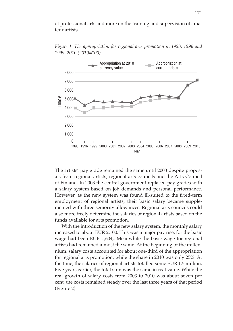of professional arts and more on the training and supervision of amateur artists.



*Figure 1. The appropriation for regional arts promotion in 1993, 1996 and 1999–2010 (2010=100)*

The artists' pay grade remained the same until 2003 despite proposals from regional artists, regional arts councils and the Arts Council of Finland. In 2003 the central government replaced pay grades with a salary system based on job demands and personal performance. However, as the new system was found ill-suited to the fixed-term employment of regional artists, their basic salary became supplemented with three seniority allowances. Regional arts councils could also more freely determine the salaries of regional artists based on the funds available for arts promotion.

With the introduction of the new salary system, the monthly salary increased to about EUR 2,100. This was a major pay rise, for the basic wage had been EUR 1,604,. Meanwhile the basic wage for regional artists had remained almost the same. At the beginning of the millennium, salary costs accounted for about one-third of the appropriation for regional arts promotion, while the share in 2010 was only 25%. At the time, the salaries of regional artists totalled some EUR 1.5 million. Five years earlier, the total sum was the same in real value. While the real growth of salary costs from 2003 to 2010 was about seven per cent, the costs remained steady over the last three years of that period (Figure 2).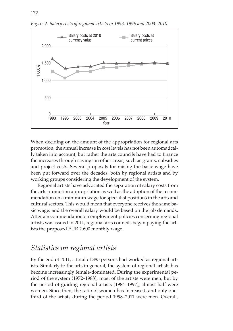

*Figure 2. Salary costs of regional artists in 1993, 1996 and 2003–2010*

When deciding on the amount of the appropriation for regional arts promotion, the annual increase in cost levels has not been automatically taken into account, but rather the arts councils have had to finance the increases through savings in other areas, such as grants, subsidies and project costs. Several proposals for raising the basic wage have been put forward over the decades, both by regional artists and by working groups considering the development of the system.

Regional artists have advocated the separation of salary costs from the arts promotion appropriation as well as the adoption of the recommendation on a minimum wage for specialist positions in the arts and cultural sectors. This would mean that everyone receives the same basic wage, and the overall salary would be based on the job demands. After a recommendation on employment policies concerning regional artists was issued in 2011, regional arts councils began paying the artists the proposed EUR 2,600 monthly wage.

## *Statistics on regional artists*

By the end of 2011, a total of 385 persons had worked as regional artists. Similarly to the arts in general, the system of regional artists has become increasingly female-dominated. During the experimental period of the system (1972–1983), most of the artists were men, but by the period of guiding regional artists (1984–1997), almost half were women. Since then, the ratio of women has increased, and only onethird of the artists during the period 1998–2011 were men. Overall,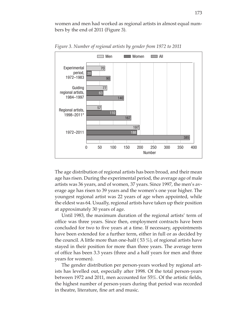women and men had worked as regional artists in almost equal numbers by the end of 2011 (Figure 3).



*Figure 3. Number of regional artists by gender from 1972 to 2011*

The age distribution of regional artists has been broad, and their mean age has risen. During the experimental period, the average age of male artists was 36 years, and of women, 37 years. Since 1997, the men's average age has risen to 39 years and the women's one year higher. The youngest regional artist was 22 years of age when appointed, while the eldest was 64. Usually, regional artists have taken up their position at approximately 30 years of age.

Until 1983, the maximum duration of the regional artists' term of office was three years. Since then, employment contracts have been concluded for two to five years at a time. If necessary, appointments have been extended for a further term, either in full or as decided by the council. A little more than one-half ( 53 %), of regional artists have stayed in their position for more than three years. The average term of office has been 3.3 years (three and a half years for men and three years for women).

The gender distribution per person-years worked by regional artists has levelled out, especially after 1998. Of the total person-years between 1972 and 2011, men accounted for 55%. Of the artistic fields, the highest number of person-years during that period was recorded in theatre, literature, fine art and music.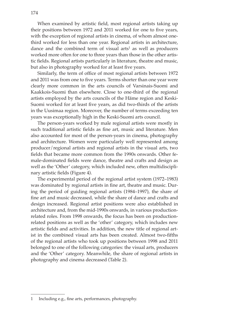When examined by artistic field, most regional artists taking up their positions between 1972 and 2011 worked for one to five years, with the exception of regional artists in cinema, of whom almost onethird worked for less than one year. Regional artists in architecture, dance and the combined term of visual arts<sup>1</sup> as well as producers worked more often for one to three years than those in the other artistic fields. Regional artists particularly in literature, theatre and music, but also in photography worked for at least five years.

Similarly, the term of office of most regional artists between 1972 and 2011 was from one to five years. Terms shorter than one year were clearly more common in the arts councils of Varsinais-Suomi and Kaakkois-Suomi than elsewhere. Close to one-third of the regional artists employed by the arts councils of the Häme region and Keski-Suomi worked for at least five years, as did two-thirds of the artists in the Uusimaa region. Moreover, the number of terms exceeding ten years was exceptionally high in the Keski-Suomi arts council.

The person-years worked by male regional artists were mostly in such traditional artistic fields as fine art, music and literature. Men also accounted for most of the person-years in cinema, photography and architecture. Women were particularly well represented among producer/regional artists and regional artists in the visual arts, two fields that became more common from the 1990s onwards. Other female-dominated fields were dance, theatre and crafts and design as well as the 'Other' category, which included new, often multidisciplinary artistic fields (Figure 4).

The experimental period of the regional artist system (1972–1983) was dominated by regional artists in fine art, theatre and music. During the period of guiding regional artists (1984–1997), the share of fine art and music decreased, while the share of dance and crafts and design increased. Regional artist positions were also established in architecture and, from the mid-1990s onwards, in various productionrelated roles. From 1998 onwards, the focus has been on productionrelated positions as well as the 'other' category, which includes new artistic fields and activities. In addition, the new title of regional artist in the combined visual arts has been created. Almost two-fifths of the regional artists who took up positions between 1998 and 2011 belonged to one of the following categories: the visual arts, producers and the 'Other' category. Meanwhile, the share of regional artists in photography and cinema decreased (Table 2).

<sup>1</sup> Including e.g., fine arts, performances, photography.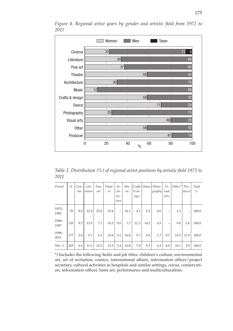

*Figure 4. Regional artist years by gender and artistic field from 1972 to 2011*

*Table 2. Distribution (%) of regional artist positions by artistic field 1972 to 2011*

| Period        | N   | Cine-<br>ma | Lite-<br>rature | Fine<br>art | Theat-<br>re | Ar-<br>chi-<br>tec-<br>ture | $Mu-$<br>sic | $\&$ de-<br>sign |      | Crafts Dance Photo-<br>graphy | Vi-<br>sual<br>arts | $Other*$ | $Pro-$<br>ducer | Total<br>% |
|---------------|-----|-------------|-----------------|-------------|--------------|-----------------------------|--------------|------------------|------|-------------------------------|---------------------|----------|-----------------|------------|
| 1972-<br>1983 | 93  | 8.6         | 12.9            | 25.8        | 19.4         | $\overline{\phantom{0}}$    | 16.1         | 4.3              | 2.2  | 8.6                           | -                   | 2.2      | —               | 100.0      |
| 1984-<br>1997 | 155 | 9.7         | 13.5            | 7.1         | 10.3         | 9.0                         | 7.7          | 12.3             | 14.2 | 4.5                           |                     | 9.0      | 2.6             | 100.0      |
| 1998-<br>2011 | 177 | 2.8         | 9.1             | 9.1         | 10.8         | 5.1                         | 10.8         | 5.7              | 8.5  | 1.7                           | 9.7                 | 15.3     | 11.9            | 100.0      |
| Yht. %        | 425 | 6.6         | 11.6            | 12.0        | 12.5         | 5.4                         | 10.8         | 7.8              | 9.2  | 4.2                           | 4.0                 | 10.1     | 5.9             | 100.0      |

\*) Includes the following fields and job titles: children's culture, environmental art, art of recitation, comics, international affairs, information officer/project secretary, cultural activities in hospitals and similar settings, circus, conservation, information officer, Sami art, performance and multiculturalism.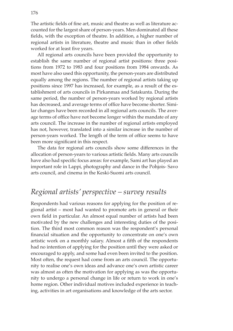The artistic fields of fine art, music and theatre as well as literature accounted for the largest share of person-years. Men dominated all these fields, with the exception of theatre. In addition, a higher number of regional artists in literature, theatre and music than in other fields worked for at least five years.

All regional arts councils have been provided the opportunity to establish the same number of regional artist positions: three positions from 1972 to 1983 and four positions from 1984 onwards. As most have also used this opportunity, the person-years are distributed equally among the regions. The number of regional artists taking up positions since 1997 has increased, for example, as a result of the establishment of arts councils in Pirkanmaa and Satakunta. During the same period, the number of person-years worked by regional artists has decreased, and average terms of office have become shorter. Similar changes have been recorded in all regional arts councils. The average terms of office have not become longer within the mandate of any arts council. The increase in the number of regional artists employed has not, however, translated into a similar increase in the number of person-years worked. The length of the term of office seems to have been more significant in this respect.

The data for regional arts councils show some differences in the allocation of person-years to various artistic fields. Many arts councils have also had specific focus areas: for example, Sami art has played an important role in Lappi, photography and dance in the Pohjois- Savo arts council, and cinema in the Keski-Suomi arts council.

## *Regional artists' perspective – survey results*

Respondents had various reasons for applying for the position of regional artist – most had wanted to promote arts in general or their own field in particular. An almost equal number of artists had been motivated by the new challenges and interesting duties of the position. The third most common reason was the respondent's personal financial situation and the opportunity to concentrate on one's own artistic work on a monthly salary. Almost a fifth of the respondents had no intention of applying for the position until they were asked or encouraged to apply, and some had even been invited to the position. Most often, the request had come from an arts council. The opportunity to realise one's own ideas and advance one's own artistic career was almost as often the motivation for applying as was the opportunity to undergo a personal change in life or return to work in one's home region. Other individual motives included experience in teaching, activities in art organisations and knowledge of the arts sector.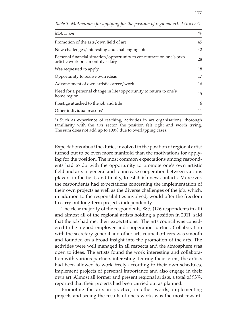| Motivation                                                                                                | %  |
|-----------------------------------------------------------------------------------------------------------|----|
| Promotion of the arts/own field of art                                                                    | 45 |
| New challenges/interesting and challenging job                                                            | 42 |
| Personal financial situation/opportunity to concentrate on one's own<br>artistic work on a monthly salary | 28 |
| Was requested to apply                                                                                    | 18 |
| Opportunity to realise own ideas                                                                          | 17 |
| Advancement of own artistic career/work                                                                   | 16 |
| Need for a personal change in life/opportunity to return to one's<br>home region                          | 15 |
| Prestige attached to the job and title                                                                    | 6  |
| Other individual reasons*                                                                                 | 11 |

*Table 3. Motivations for applying for the position of regional artist (n=177)*

\*) Such as experience of teaching, activities in art organisations, thorough familiarity with the arts sector, the position felt right and worth trying. The sum does not add up to 100% due to overlapping cases.

Expectations about the duties involved in the position of regional artist turned out to be even more manifold than the motivations for applying for the position. The most common expectations among respondents had to do with the opportunity to promote one's own artistic field and arts in general and to increase cooperation between various players in the field, and finally, to establish new contacts. Moreover, the respondents had expectations concerning the implementation of their own projects as well as the diverse challenges of the job, which, in addition to the responsibilities involved, would offer the freedom to carry out long-term projects independently.

The clear majority of the respondents, 88% (176 respondents in all) and almost all of the regional artists holding a position in 2011, said that the job had met their expectations. The arts council was considered to be a good employer and cooperation partner. Collaboration with the secretary general and other arts council officers was smooth and founded on a broad insight into the promotion of the arts. The activities were well managed in all respects and the atmosphere was open to ideas. The artists found the work interesting and collaboration with various partners interesting. During their terms, the artists had been allowed to work freely according to their own schedules, implement projects of personal importance and also engage in their own art. Almost all former and present regional artists, a total of 93%, reported that their projects had been carried out as planned.

Promoting the arts in practice, in other words, implementing projects and seeing the results of one's work, was the most reward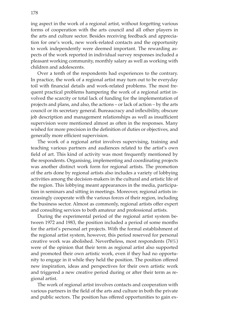ing aspect in the work of a regional artist, without forgetting various forms of cooperation with the arts council and all other players in the arts and culture sector. Besides receiving feedback and appreciation for one's work, new work-related contacts and the opportunity to work independently were deemed important. The rewarding aspects of the work reported in individual survey responses included a pleasant working community, monthly salary as well as working with children and adolescents.

Over a tenth of the respondents had experiences to the contrary. In practice, the work of a regional artist may turn out to be everyday toil with financial details and work-related problems. The most frequent practical problems hampering the work of a regional artist involved the scarcity or total lack of funding for the implementation of projects and plans, and also, the actions – or lack of action – by the arts council or its secretary general. Bureaucracy and inflexibility, obscure job description and management relationships as well as insufficient supervision were mentioned almost as often in the responses. Many wished for more precision in the definition of duties or objectives, and generally more efficient supervision.

The work of a regional artist involves supervising, training and teaching various partners and audiences related to the artist's own field of art. This kind of activity was most frequently mentioned by the respondents. Organising, implementing and coordinating projects was another distinct work form for regional artists. The promotion of the arts done by regional artists also includes a variety of lobbying activities among the decision-makers in the cultural and artistic life of the region. This lobbying meant appearances in the media, participation in seminars and sitting in meetings. Moreover, regional artists increasingly cooperate with the various forces of their region, including the business sector. Almost as commonly, regional artists offer expert and consulting services to both amateur and professional artists.

During the experimental period of the regional artist system between 1972 and 1983, the position included a period of some months for the artist's personal art projects. With the formal establishment of the regional artist system, however, this period reserved for personal creative work was abolished. Nevertheless, most respondents (76%) were of the opinion that their term as regional artist also supported and promoted their own artistic work, even if they had no opportunity to engage in it while they held the position. The position offered new inspiration, ideas and perspectives for their own artistic work and triggered a new creative period during or after their term as regional artist.

The work of regional artist involves contacts and cooperation with various partners in the field of the arts and culture in both the private and public sectors. The position has offered opportunities to gain ex-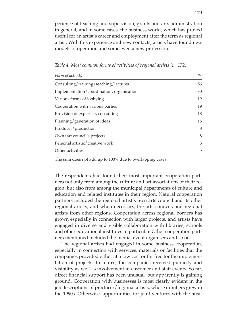perience of teaching and supervision, grants and arts administration in general, and in some cases, the business world, which has proved useful for an artist's career and employment after the term as regional artist. With this experience and new contacts, artists have found new models of operation and some even a new profession.

| Form of activity                         | $\%$ |
|------------------------------------------|------|
| Consulting/training/teaching/lectures    | 56   |
| Implementation/coordination/organisation | 30   |
| Various forms of lobbying                | 19   |
| Cooperation with various parties         | 19   |
| Provision of expertise/consulting        | 18   |
| Planning/generation of ideas             | 16   |
| Producer/production                      | 8    |
| Own/art council's projects               | 8    |
| Personal artistic/creative work          | 3    |
| Other activities                         | 5    |

*Table 4. Most common forms of activities of regional artists (n=172)*

The sum does not add up to 100% due to overlapping cases.

The respondents had found their most important cooperation partners not only from among the culture and art associations of their region, but also from among the municipal departments of culture and education and related institutes in their region. Natural cooperation partners included the regional artist's own arts council and its other regional artists, and when necessary, the arts councils and regional artists from other regions. Cooperation across regional borders has grown especially in connection with larger projects, and artists have engaged in diverse and visible collaboration with libraries, schools and other educational institutes in particular. Other cooperation partners mentioned included the media, event organisers and so on.

The regional artists had engaged in some business cooperation, especially in connection with services, materials or facilities that the companies provided either at a low cost or for free for the implementation of projects. In return, the companies received publicity and visibility as well as involvement in customer and staff events. So far, direct financial support has been unusual, but apparently is gaining ground. Cooperation with businesses is most clearly evident in the job descriptions of producer/regional artists, whose numbers grew in the 1990s. Otherwise, opportunities for joint ventures with the busi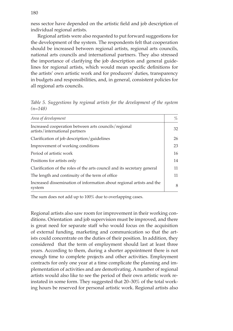ness sector have depended on the artistic field and job description of individual regional artists.

Regional artists were also requested to put forward suggestions for the development of the system. The respondents felt that cooperation should be increased between regional artists, regional arts councils, national arts councils and international partners. They also stressed the importance of clarifying the job description and general guidelines for regional artists, which would mean specific definitions for the artists' own artistic work and for producers' duties, transparency in budgets and responsibilities, and, in general, consistent policies for all regional arts councils.

| Area of development                                                                    | %  |
|----------------------------------------------------------------------------------------|----|
| Increased cooperation between arts councils/regional<br>artists/international partners | 32 |
| Clarification of job description/guidelines                                            | 26 |
| Improvement of working conditions                                                      | 23 |
| Period of artistic work                                                                | 16 |
| Positions for artists only                                                             | 14 |
| Clarification of the roles of the arts council and its secretary general               | 11 |
| The length and continuity of the term of office.                                       | 11 |
| Increased dissemination of information about regional artists and the<br>system        | 8  |

*Table 5. Suggestions by regional artists for the development of the system (n=148)*

The sum does not add up to 100% due to overlapping cases.

Regional artists also saw room for improvement in their working conditions. Orientation and job supervision must be improved, and there is great need for separate staff who would focus on the acquisition of external funding, marketing and communication so that the artists could concentrate on the duties of their position. In addition, they considered that the term of employment should last at least three years. According to them, during a shorter appointment there is not enough time to complete projects and other activities. Employment contracts for only one year at a time complicate the planning and implementation of activities and are demotivating. A number of regional artists would also like to see the period of their own artistic work reinstated in some form. They suggested that 20–30% of the total working hours be reserved for personal artistic work. Regional artists also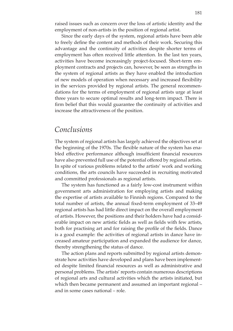raised issues such as concern over the loss of artistic identity and the employment of non-artists in the position of regional artist.

Since the early days of the system, regional artists have been able to freely define the content and methods of their work. Securing this advantage and the continuity of activities despite shorter terms of employment has often received little attention. In the last ten years, activities have become increasingly project-focused. Short-term employment contracts and projects can, however, be seen as strengths in the system of regional artists as they have enabled the introduction of new models of operation when necessary and increased flexibility in the services provided by regional artists. The general recommendations for the terms of employment of regional artists urge at least three years to secure optimal results and long-term impact. There is firm belief that this would guarantee the continuity of activities and increase the attractiveness of the position.

#### *Conclusions*

The system of regional artists has largely achieved the objectives set at the beginning of the 1970s. The flexible nature of the system has enabled effective performance although insufficient financial resources have also prevented full use of the potential offered by regional artists. In spite of various problems related to the artists' work and working conditions, the arts councils have succeeded in recruiting motivated and committed professionals as regional artists.

The system has functioned as a fairly low-cost instrument within government arts administration for employing artists and making the expertise of artists available to Finnish regions. Compared to the total number of artists, the annual fixed-term employment of 33–49 regional artists has had little direct impact on the overall employment of artists. However, the positions and their holders have had a considerable impact on new artistic fields as well as fields with few artists, both for practising art and for raising the profile of the fields. Dance is a good example: the activities of regional artists in dance have increased amateur participation and expanded the audience for dance, thereby strengthening the status of dance.

The action plans and reports submitted by regional artists demonstrate how activities have developed and plans have been implemented despite limited financial resources as well as administrative and personal problems. The artists' reports contain numerous descriptions of regional arts and cultural activities which the artists initiated, but which then became permanent and assumed an important regional – and in some cases national – role.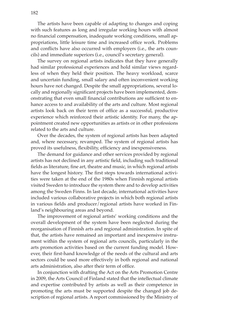The artists have been capable of adapting to changes and coping with such features as long and irregular working hours with almost no financial compensation, inadequate working conditions, small appropriations, little leisure time and increased office work. Problems and conflicts have also occurred with employers (i.e., the arts councils) and immediate superiors (i.e., council's secretary general).

The survey on regional artists indicates that they have generally had similar professional experiences and hold similar views regardless of when they held their position. The heavy workload, scarce and uncertain funding, small salary and often inconvenient working hours have not changed. Despite the small appropriations, several locally and regionally significant projects have been implemented, demonstrating that even small financial contributions are sufficient to enhance access to and availability of the arts and culture. Most regional artists look back on their term of office as a successful, productive experience which reinforced their artistic identity. For many, the appointment created new opportunities as artists or in other professions related to the arts and culture.

Over the decades, the system of regional artists has been adapted and, where necessary, revamped. The system of regional artists has proved its usefulness, flexibility, efficiency and inexpensiveness.

The demand for guidance and other services provided by regional artists has not declined in any artistic field, including such traditional fields as literature, fine art, theatre and music, in which regional artists have the longest history. The first steps towards international activities were taken at the end of the 1980s when Finnish regional artists visited Sweden to introduce the system there and to develop activities among the Sweden Finns. In last decade, international activities have included various collaborative projects in which both regional artists in various fields and producer/regional artists have worked in Finland's neighbouring areas and beyond.

The improvement of regional artists' working conditions and the overall development of the system have been neglected during the reorganisation of Finnish arts and regional administration. In spite of that, the artists have remained an important and inexpensive instrument within the system of regional arts councils, particularly in the arts promotion activities based on the current funding model. However, their first-hand knowledge of the needs of the cultural and arts sectors could be used more effectively in both regional and national arts administration, also after their term of office.

In conjunction with drafting the Act on the Arts Promotion Centre in 2009, the Arts Council of Finland stated that the intellectual climate and expertise contributed by artists as well as their competence in promoting the arts must be supported despite the changed job description of regional artists. A report commissioned by the Ministry of